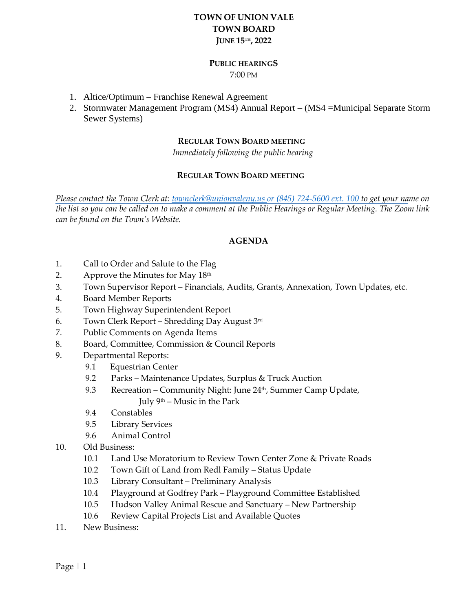# **TOWN OF UNION VALE TOWN BOARD JUNE 15TH, 2022**

## **PUBLIC HEARINGS**

7:00 PM

- 1. Altice/Optimum Franchise Renewal Agreement
- 2. Stormwater Management Program (MS4) Annual Report (MS4 =Municipal Separate Storm Sewer Systems)

#### **REGULAR TOWN BOARD MEETING**

 *Immediately following the public hearing*

#### **REGULAR TOWN BOARD MEETING**

*Please contact the Town Clerk at: [townclerk@unionvaleny.us](mailto:townclerk@unionvaleny.us) or (845) 724-5600 ext. 100 to get your name on the list so you can be called on to make a comment at the Public Hearings or Regular Meeting. The Zoom link can be found on the Town's Website.*

## **AGENDA**

- 1. Call to Order and Salute to the Flag
- 2. Approve the Minutes for May 18th
- 3. Town Supervisor Report Financials, Audits, Grants, Annexation, Town Updates, etc.
- 4. Board Member Reports
- 5. Town Highway Superintendent Report
- 6. Town Clerk Report Shredding Day August 3rd
- 7. Public Comments on Agenda Items
- 8. Board, Committee, Commission & Council Reports
- 9. Departmental Reports:
	- 9.1 Equestrian Center
	- 9.2 Parks Maintenance Updates, Surplus & Truck Auction
	- 9.3 Recreation Community Night: June 24<sup>th</sup>, Summer Camp Update, July  $9<sup>th</sup>$  – Music in the Park
	- 9.4 Constables
	- 9.5 Library Services
	- 9.6 Animal Control
- 10. Old Business:
	- 10.1 Land Use Moratorium to Review Town Center Zone & Private Roads
	- 10.2 Town Gift of Land from Redl Family Status Update
	- 10.3 Library Consultant Preliminary Analysis
	- 10.4 Playground at Godfrey Park Playground Committee Established
	- 10.5 Hudson Valley Animal Rescue and Sanctuary New Partnership
	- 10.6 Review Capital Projects List and Available Quotes
- 11. New Business: